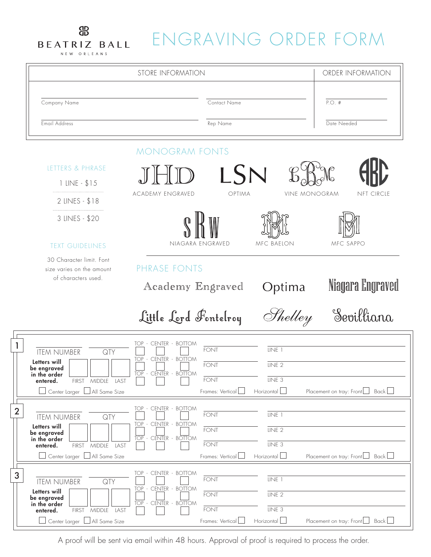## ENGRAVING ORDER FORM

BEATRIZ BALL NEW ORLEANS



A proof will be sent via email within 48 hours. Approval of proof is required to process the order.